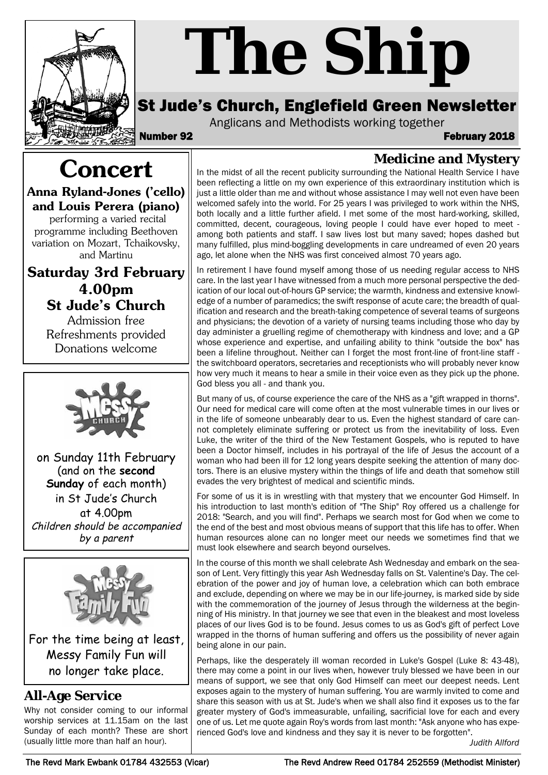

# *The Ship*

# St Jude's Church, Englefield Green Newsletter

Anglicans and Methodists working together

Number 92 February 2018

# **Concert**

**Anna Ryland-Jones ('cello) and Louis Perera (piano)** performing a varied recital

programme including Beethoven variation on Mozart, Tchaikovsky, and Martinu

**Saturday 3rd February 4.00pm St Jude's Church**

> Admission free Refreshments provided Donations welcome



on Sunday 11th February (and on the **second Sunday** of each month) in St Jude's Church at 4.00pm Children should be accompanied by a parent



For the time being at least, Messy Family Fun will no longer take place.

### **All-Age Service**

Why not consider coming to our informal worship services at 11.15am on the last Sunday of each month? These are short (usually little more than half an hour).

**Medicine and Mystery** In the midst of all the recent publicity surrounding the National Health Service I have been reflecting a little on my own experience of this extraordinary institution which is just a little older than me and without whose assistance I may well not even have been welcomed safely into the world. For 25 years I was privileged to work within the NHS, both locally and a little further afield. I met some of the most hard-working, skilled, committed, decent, courageous, loving people I could have ever hoped to meet among both patients and staff. I saw lives lost but many saved; hopes dashed but many fulfilled, plus mind-boggling developments in care undreamed of even 20 years ago, let alone when the NHS was first conceived almost 70 years ago.

In retirement I have found myself among those of us needing regular access to NHS care. In the last year I have witnessed from a much more personal perspective the dedication of our local out-of-hours GP service; the warmth, kindness and extensive knowledge of a number of paramedics; the swift response of acute care; the breadth of qualification and research and the breath-taking competence of several teams of surgeons and physicians; the devotion of a variety of nursing teams including those who day by day administer a gruelling regime of chemotherapy with kindness and love; and a GP whose experience and expertise, and unfailing ability to think "outside the box" has been a lifeline throughout. Neither can I forget the most front-line of front-line staff the switchboard operators, secretaries and receptionists who will probably never know how very much it means to hear a smile in their voice even as they pick up the phone. God bless you all - and thank you.

But many of us, of course experience the care of the NHS as a "gift wrapped in thorns". Our need for medical care will come often at the most vulnerable times in our lives or in the life of someone unbearably dear to us. Even the highest standard of care cannot completely eliminate suffering or protect us from the inevitability of loss. Even Luke, the writer of the third of the New Testament Gospels, who is reputed to have been a Doctor himself, includes in his portrayal of the life of Jesus the account of a woman who had been ill for 12 long years despite seeking the attention of many doctors. There is an elusive mystery within the things of life and death that somehow still evades the very brightest of medical and scientific minds.

For some of us it is in wrestling with that mystery that we encounter God Himself. In his introduction to last month's edition of "The Ship" Roy offered us a challenge for 2018: "Search, and you will find". Perhaps we search most for God when we come to the end of the best and most obvious means of support that this life has to offer. When human resources alone can no longer meet our needs we sometimes find that we must look elsewhere and search beyond ourselves.

In the course of this month we shall celebrate Ash Wednesday and embark on the season of Lent. Very fittingly this year Ash Wednesday falls on St. Valentine's Day. The celebration of the power and joy of human love, a celebration which can both embrace and exclude, depending on where we may be in our life-journey, is marked side by side with the commemoration of the journey of Jesus through the wilderness at the beginning of His ministry. In that journey we see that even in the bleakest and most loveless places of our lives God is to be found. Jesus comes to us as God's gift of perfect Love wrapped in the thorns of human suffering and offers us the possibility of never again being alone in our pain.

Perhaps, like the desperately ill woman recorded in Luke's Gospel (Luke 8: 43-48), there may come a point in our lives when, however truly blessed we have been in our means of support, we see that only God Himself can meet our deepest needs. Lent exposes again to the mystery of human suffering. You are warmly invited to come and share this season with us at St. Jude's when we shall also find it exposes us to the far greater mystery of God's immeasurable, unfailing, sacrificial love for each and every one of us. Let me quote again Roy's words from last month: "Ask anyone who has experienced God's love and kindness and they say it is never to be forgotten".

*Judith Allford*

The Revd Mark Ewbank 01784 432553 (Vicar) The Revd Andrew Reed 01784 252559 (Methodist Minister)